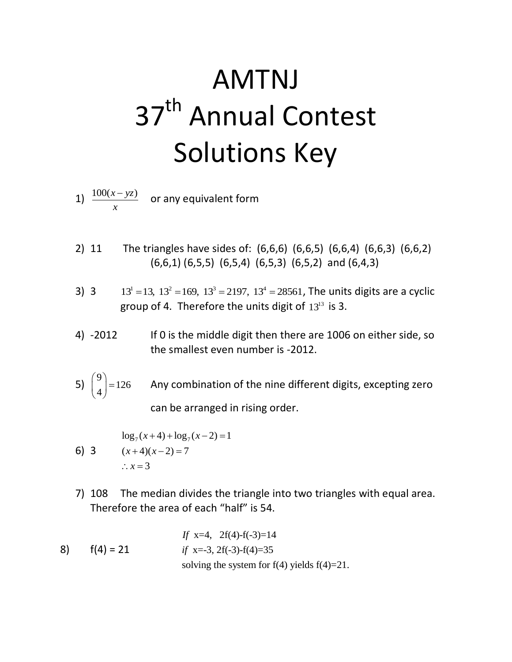## AMTNJ 37<sup>th</sup> Annual Contest Solutions Key

- 1)  $\frac{100(x yz)}{2}$ *x*  $\frac{-yz)}{z}$  or any equivalent form
- 2) 11 The triangles have sides of: (6,6,6) (6,6,5) (6,6,4) (6,6,3) (6,6,2) (6,6,1) (6,5,5) (6,5,4) (6,5,3) (6,5,2) and (6,4,3)
- 3) 3  $13<sup>1</sup> = 13$ ,  $13<sup>2</sup> = 169$ ,  $13<sup>3</sup> = 2197$ ,  $13<sup>4</sup> = 28561$ , The units digits are a cyclic group of 4. Therefore the units digit of  $13^{13}$  is 3.
- 4) -2012 If 0 is the middle digit then there are 1006 on either side, so the smallest even number is -2012.
- 5) 9 126  $\binom{9}{4}$  $(4)$ Any combination of the nine different digits, excepting zero can be arranged in rising order.

$$
\log_7(x+4) + \log_7(x-2) = 1
$$
  
6) 3 (x+4)(x-2) = 7  
∴ x = 3

- 7) 108 The median divides the triangle into two triangles with equal area. Therefore the area of each "half" is 54.
- 8)  $f(4) = 21$  x=4, 2f(4)-f(-3)=14 *If if*  $x=-3$ ,  $2f(-3)-f(4)=35$ solving the system for  $f(4)$  yields  $f(4)=21$ .